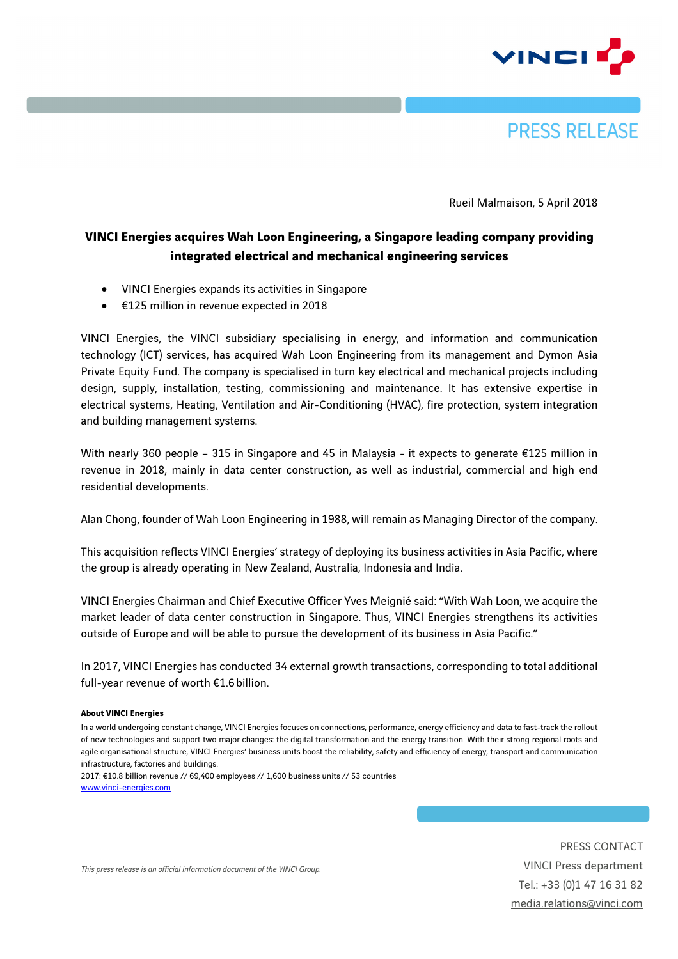



Rueil Malmaison, 5 April 2018

## **VINCI Energies acquires Wah Loon Engineering, a Singapore leading company providing integrated electrical and mechanical engineering services**

- VINCI Energies expands its activities in Singapore
- €125 million in revenue expected in 2018

VINCI Energies, the VINCI subsidiary specialising in energy, and information and communication technology (ICT) services, has acquired Wah Loon Engineering from its management and Dymon Asia Private Equity Fund. The company is specialised in turn key electrical and mechanical projects including design, supply, installation, testing, commissioning and maintenance. It has extensive expertise in electrical systems, Heating, Ventilation and Air-Conditioning (HVAC), fire protection, system integration and building management systems.

With nearly 360 people – 315 in Singapore and 45 in Malaysia - it expects to generate €125 million in revenue in 2018, mainly in data center construction, as well as industrial, commercial and high end residential developments.

Alan Chong, founder of Wah Loon Engineering in 1988, will remain as Managing Director of the company.

This acquisition reflects VINCI Energies' strategy of deploying its business activities in Asia Pacific, where the group is already operating in New Zealand, Australia, Indonesia and India.

VINCI Energies Chairman and Chief Executive Officer Yves Meignié said: "With Wah Loon, we acquire the market leader of data center construction in Singapore. Thus, VINCI Energies strengthens its activities outside of Europe and will be able to pursue the development of its business in Asia Pacific."

In 2017, VINCI Energies has conducted 34 external growth transactions, corresponding to total additional full-year revenue of worth €1.6billion.

## **About VINCI Energies**

In a world undergoing constant change, VINCI Energies focuses on connections, performance, energy efficiency and data to fast-track the rollout of new technologies and support two major changes: the digital transformation and the energy transition. With their strong regional roots and agile organisational structure, VINCI Energies' business units boost the reliability, safety and efficiency of energy, transport and communication infrastructure, factories and buildings.

2017: €10.8 billion revenue // 69,400 employees // 1,600 business units // 53 countries www.vinci-energies.com

> PRESS CONTACT VINCI Press department Tel.: +33 (0)1 47 16 31 82 media.relations@vinci.com

*This press release is an official information document of the VINCI Group.*